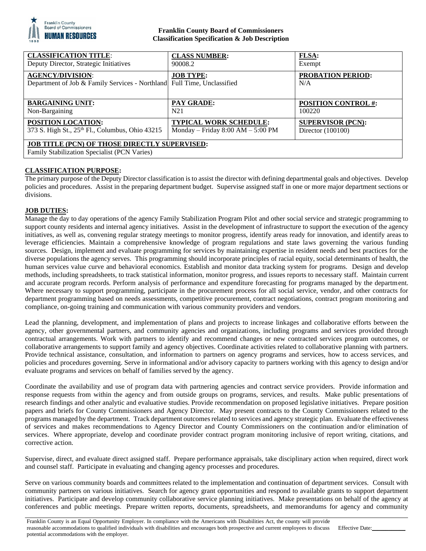

### **Franklin County Board of Commissioners Classification Specification & Job Description**

| <b>CLASSIFICATION TITLE:</b>                                                                         | <b>CLASS NUMBER:</b>                | <b>FLSA:</b>               |
|------------------------------------------------------------------------------------------------------|-------------------------------------|----------------------------|
| Deputy Director, Strategic Initiatives                                                               | 90008.2                             | Exempt                     |
| <b>AGENCY/DIVISION:</b><br>Department of Job & Family Services - Northland Full Time, Unclassified   | <b>JOB TYPE:</b>                    | PROBATION PERIOD:<br>N/A   |
| <b>BARGAINING UNIT:</b>                                                                              | <b>PAY GRADE:</b>                   | <b>POSITION CONTROL #:</b> |
| Non-Bargaining                                                                                       | N <sub>21</sub>                     | 100220                     |
| <b>POSITION LOCATION:</b>                                                                            | <b>TYPICAL WORK SCHEDULE:</b>       | <b>SUPERVISOR (PCN):</b>   |
| 373 S. High St., 25 <sup>th</sup> Fl., Columbus, Ohio 43215                                          | Monday – Friday $8:00 AM - 5:00 PM$ | Director $(100100)$        |
| <b>JOB TITLE (PCN) OF THOSE DIRECTLY SUPERVISED:</b><br>Family Stabilization Specialist (PCN Varies) |                                     |                            |

# **CLASSIFICATION PURPOSE:**

The primary purpose of the Deputy Director classification is to assist the director with defining departmental goals and objectives. Develop policies and procedures. Assist in the preparing department budget. Supervise assigned staff in one or more major department sections or divisions.

## **JOB DUTIES:**

Manage the day to day operations of the agency Family Stabilization Program Pilot and other social service and strategic programming to support county residents and internal agency initiatives. Assist in the development of infrastructure to support the execution of the agency initiatives, as well as, convening regular strategy meetings to monitor progress, identify areas ready for innovation, and identify areas to leverage efficiencies. Maintain a comprehensive knowledge of program regulations and state laws governing the various funding sources. Design, implement and evaluate programming for services by maintaining expertise in resident needs and best practices for the diverse populations the agency serves. This programming should incorporate principles of racial equity, social determinants of health, the human services value curve and behavioral economics. Establish and monitor data tracking system for programs. Design and develop methods, including spreadsheets, to track statistical information, monitor progress, and issues reports to necessary staff. Maintain current and accurate program records. Perform analysis of performance and expenditure forecasting for programs managed by the department. Where necessary to support programming, participate in the procurement process for all social service, vendor, and other contracts for department programming based on needs assessments, competitive procurement, contract negotiations, contract program monitoring and compliance, on-going training and communication with various community providers and vendors.

Lead the planning, development, and implementation of plans and projects to increase linkages and collaborative efforts between the agency, other governmental partners, and community agencies and organizations, including programs and services provided through contractual arrangements. Work with partners to identify and recommend changes or new contracted services program outcomes, or collaborative arrangements to support family and agency objectives. Coordinate activities related to collaborative planning with partners. Provide technical assistance, consultation, and information to partners on agency programs and services, how to access services, and policies and procedures governing. Serve in informational and/or advisory capacity to partners working with this agency to design and/or evaluate programs and services on behalf of families served by the agency.

Coordinate the availability and use of program data with partnering agencies and contract service providers. Provide information and response requests from within the agency and from outside groups on programs, services, and results. Make public presentations of research findings and other analytic and evaluative studies. Provide recommendation on proposed legislative initiatives. Prepare position papers and briefs for County Commissioners and Agency Director. May present contracts to the County Commissioners related to the programs managed by the department. Track department outcomes related to services and agency strategic plan. Evaluate the effectiveness of services and makes recommendations to Agency Director and County Commissioners on the continuation and/or elimination of services. Where appropriate, develop and coordinate provider contract program monitoring inclusive of report writing, citations, and corrective action.

Supervise, direct, and evaluate direct assigned staff. Prepare performance appraisals, take disciplinary action when required, direct work and counsel staff. Participate in evaluating and changing agency processes and procedures.

Serve on various community boards and committees related to the implementation and continuation of department services. Consult with community partners on various initiatives. Search for agency grant opportunities and respond to available grants to support department initiatives. Participate and develop community collaborative service planning initiatives. Make presentations on behalf of the agency at conferences and public meetings. Prepare written reports, documents, spreadsheets, and memorandums for agency and community